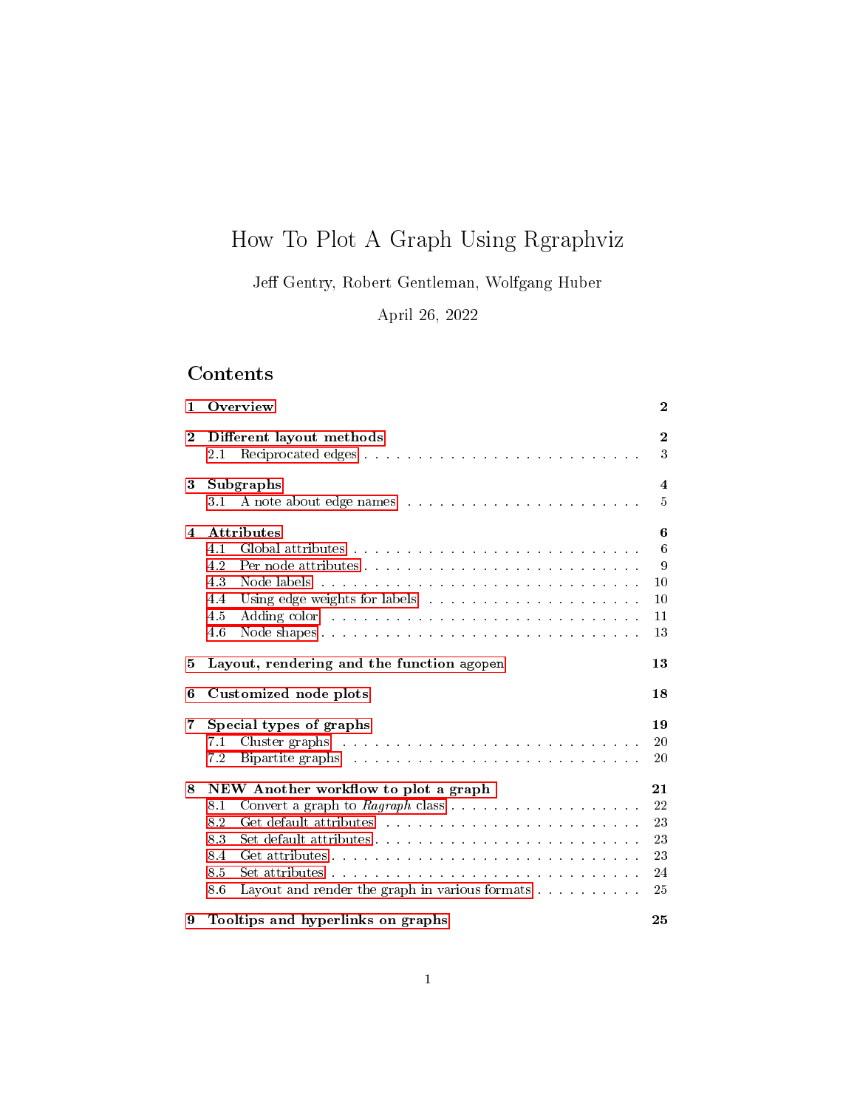# How To Plot A Graph Using Rgraphviz

Je Gentry, Robert Gentleman, Wolfgang Huber

April 26, 2022

# Contents

| 1        | Overview                                                                                                                                                                                                                                                                                      | $\bf{2}$                                        |
|----------|-----------------------------------------------------------------------------------------------------------------------------------------------------------------------------------------------------------------------------------------------------------------------------------------------|-------------------------------------------------|
| $\bf{2}$ | Different layout methods<br>$2.1\,$                                                                                                                                                                                                                                                           | $\boldsymbol{2}$<br>3                           |
| 3        | Subgraphs<br>A note about edge names response to a constraint and a set of the set of the set of the set of the set of the set of the set of the set of the set of the set of the set of the set of the set of the set of the set of the se<br>3.1                                            | $\overline{\bf{4}}$<br>5                        |
| 4        | <b>Attributes</b><br>4.1<br>4.2<br>4.3<br>4.4<br>4.5<br>Adding color that is a contracted to the contract of the contracted to the contract of the contracted to the contracted to the contracted to the contracted to the contracted to the contracted to the contracted to the contr<br>4.6 | 6<br>6<br>9<br>10<br>10<br>11<br>13             |
| 5        | Layout, rendering and the function agopen                                                                                                                                                                                                                                                     | 13                                              |
| 6        | Customized node plots                                                                                                                                                                                                                                                                         | 18                                              |
| 7        | Special types of graphs<br>7.1<br>7.2<br>Bipartite graphs entertainment is a series of the series of the series of the series of the series of the series of the series of the series of the series of the series of the series of the series of the series of the seri                       | 19<br>20<br>20                                  |
| 8        | NEW Another workflow to plot a graph<br>8.1<br>8.2<br>8.3<br>8.4<br>8.5<br>8.6                                                                                                                                                                                                                | 21<br>22<br>23<br>$\sqrt{23}$<br>23<br>24<br>25 |
| 9        | Tooltips and hyperlinks on graphs                                                                                                                                                                                                                                                             | 25                                              |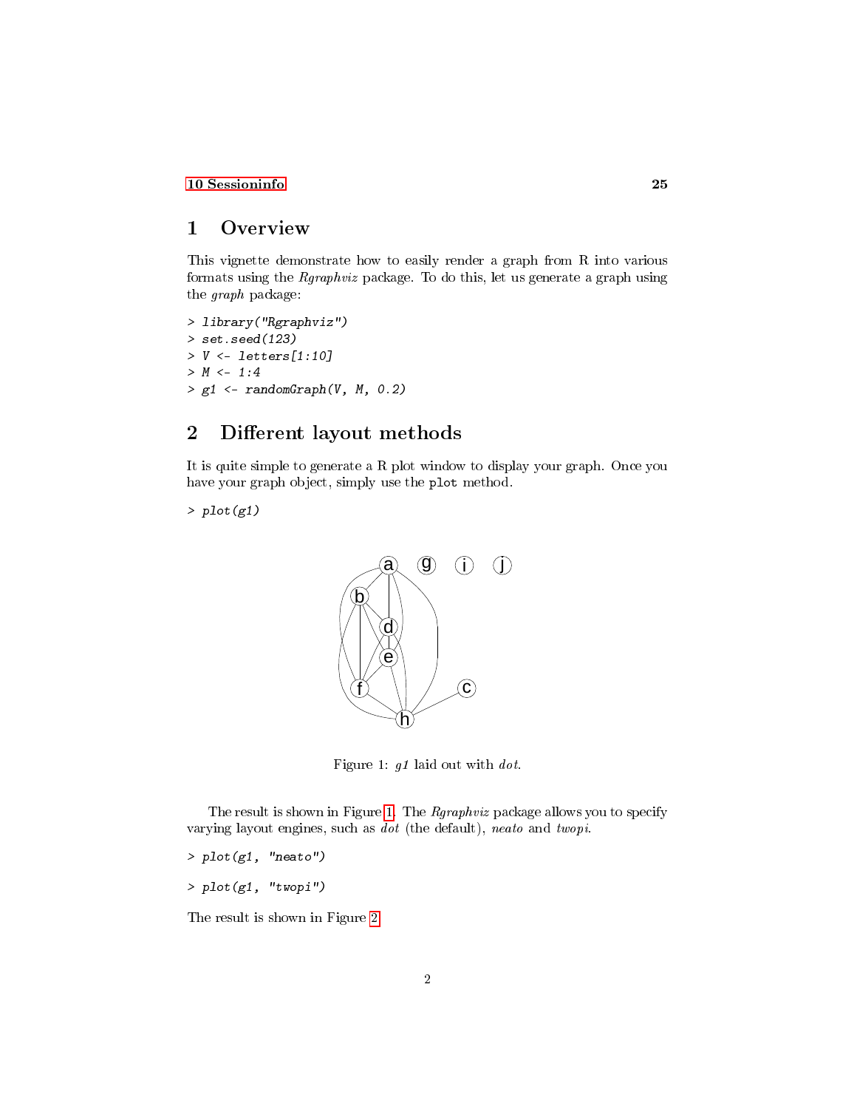### [10 Sessioninfo](#page-24-2) 25

### <span id="page-1-0"></span>1 Overview

This vignette demonstrate how to easily render a graph from R into various formats using the Rgraphviz package. To do this, let us generate a graph using the graph package:

> library("Rgraphviz") > set.seed(123)  $> V \le$  letters[1:10]  $> M < -1:4$  $> g1 \leftarrow \text{randomGraph}(V, M, 0.2)$ 

# <span id="page-1-1"></span>2 Different layout methods

It is quite simple to generate a R plot window to display your graph. Once you have your graph object, simply use the plot method.

 $> plot(g1)$ 



<span id="page-1-2"></span>Figure 1: g1 laid out with dot.

The result is shown in Figure [1.](#page-1-2) The Rgraphviz package allows you to specify varying layout engines, such as dot (the default), neato and twopi.

 $> plot(g1, 'meato'')$ 

 $> plot(g1, "twopi")$ 

The result is shown in Figure [2.](#page-2-1)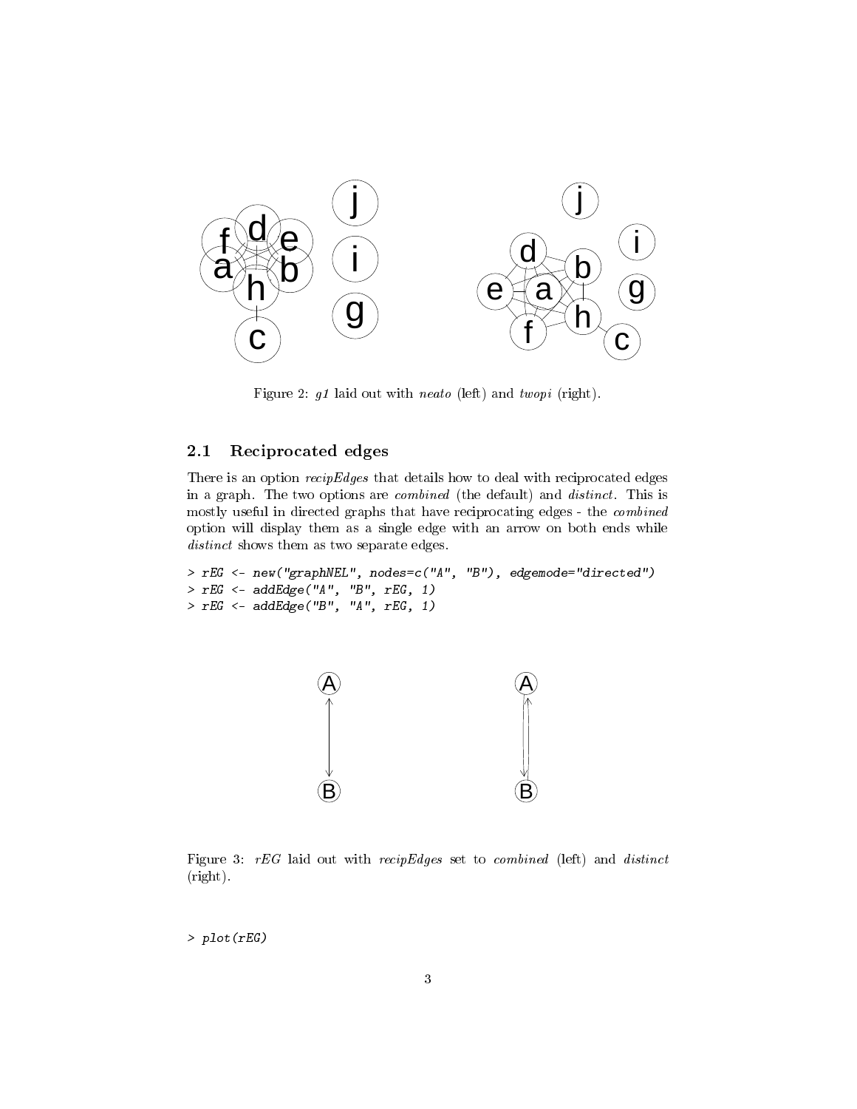

<span id="page-2-1"></span>Figure 2: g1 laid out with neato (left) and twopi (right).

### <span id="page-2-0"></span>2.1 Reciprocated edges

There is an option recipEdges that details how to deal with reciprocated edges in a graph. The two options are combined (the default) and distinct. This is mostly useful in directed graphs that have reciprocating edges - the combined option will display them as a single edge with an arrow on both ends while distinct shows them as two separate edges.

```
> rEG <- new("graphNEL", nodes=c("A", "B"), edgemode="directed")
> rEG <- addEdge("A", "B", rEG, 1)
> rEG \leftarrow addEdge("B", "A", rEG, 1)
```


<span id="page-2-2"></span>Figure 3: rEG laid out with recipEdges set to combined (left) and distinct (right).

> plot(rEG)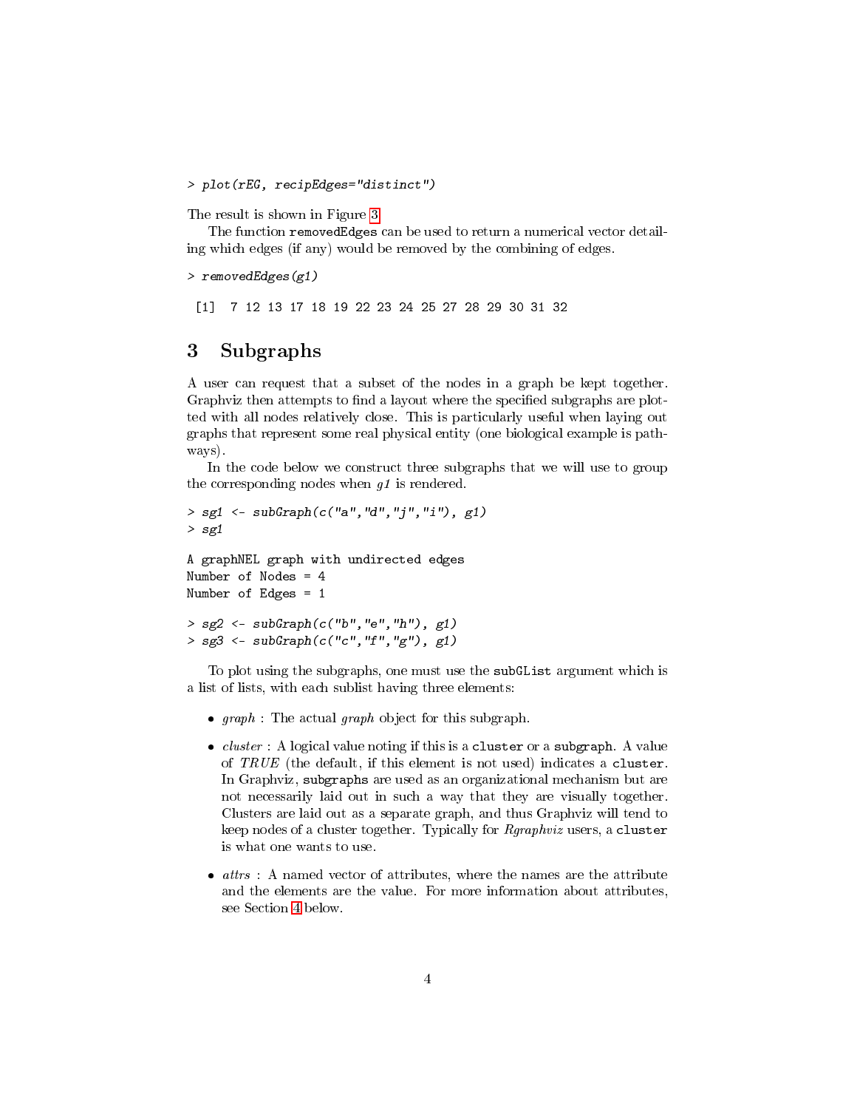> plot(rEG, recipEdges="distinct")

The result is shown in Figure [3.](#page-2-2)

The function removedEdges can be used to return a numerical vector detailing which edges (if any) would be removed by the combining of edges.

```
> removedEdges(g1)
```
[1] 7 12 13 17 18 19 22 23 24 25 27 28 29 30 31 32

### <span id="page-3-0"></span>3 Subgraphs

A user can request that a subset of the nodes in a graph be kept together. Graphviz then attempts to find a layout where the specified subgraphs are plotted with all nodes relatively close. This is particularly useful when laying out graphs that represent some real physical entity (one biological example is pathways).

In the code below we construct three subgraphs that we will use to group the corresponding nodes when  $g_1$  is rendered.

```
> sg1 <- subGraph(c("a", "d", "j", "i"), g1)> sg1
A graphNEL graph with undirected edges
Number of Nodes = 4
Number of Edges = 1
> sg2 \leq -subGraph(c("b", "e", "h"), g1)> sg3 \leftarrow subGraph(c("c", "f", "g"), g1)
```
To plot using the subgraphs, one must use the subGList argument which is a list of lists, with each sublist having three elements:

- $graph:$  The actual graph object for this subgraph.
- $\bullet$  *cluster* : A logical value noting if this is a cluster or a subgraph. A value of  $TRUE$  (the default, if this element is not used) indicates a cluster. In Graphviz, subgraphs are used as an organizational mechanism but are not necessarily laid out in such a way that they are visually together. Clusters are laid out as a separate graph, and thus Graphviz will tend to keep nodes of a cluster together. Typically for *Rgraphviz* users, a cluster is what one wants to use.
- $\bullet$  *attrs* : A named vector of attributes, where the names are the attribute and the elements are the value. For more information about attributes, see Section [4](#page-5-0) below.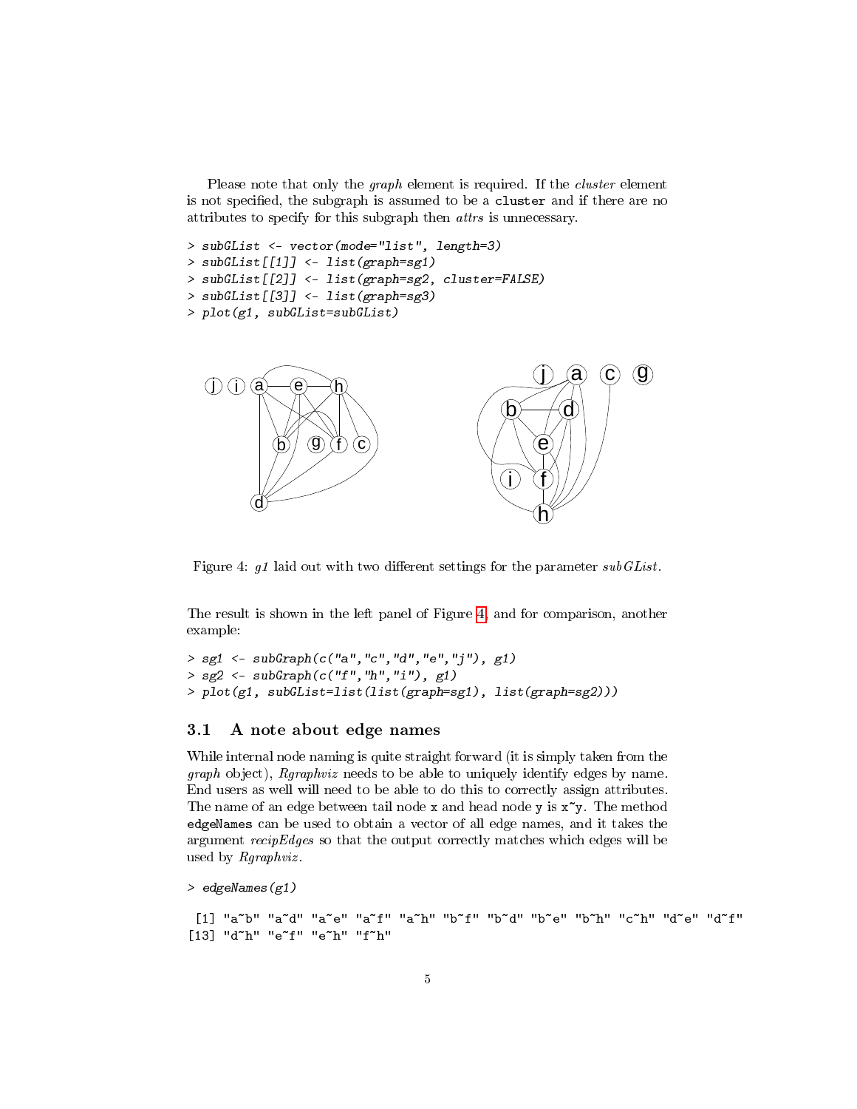Please note that only the *graph* element is required. If the *cluster* element is not specified, the subgraph is assumed to be a cluster and if there are no attributes to specify for this subgraph then attrs is unnecessary.

> subGList <- vector(mode="list", length=3) > subGList[[1]] <- list(graph=sg1) > subGList[[2]] <- list(graph=sg2, cluster=FALSE) > subGList[[3]] <- list(graph=sg3) > plot(g1, subGList=subGList)



<span id="page-4-1"></span>Figure 4:  $g1$  laid out with two different settings for the parameter subGList.

The result is shown in the left panel of Figure [4,](#page-4-1) and for comparison, another example:

```
> sg1 <- subGraph(c("a", "c", "d", "e", "j")), g1)> sg2 \leq -subGraph(c("f", "h", "i"), g1)> plot(g1, subGList=list(list(graph=sg1), list(graph=sg2)))
```
#### <span id="page-4-0"></span>3.1 A note about edge names

While internal node naming is quite straight forward (it is simply taken from the graph object), Rgraphviz needs to be able to uniquely identify edges by name. End users as well will need to be able to do this to correctly assign attributes. The name of an edge between tail node x and head node y is  $x^y$ . The method edgeNames can be used to obtain a vector of all edge names, and it takes the argument  $recipEdges$  so that the output correctly matches which edges will be used by Rgraphviz .

> edgeNames(g1)

```
[1] "a~b" "a~d" "a~e" "a~f" "a~h" "b~f" "b~d" "b~e" "b~h" "c~h" "d~e" "d~f"
[13] "d~h" "e~f" "e~h" "f~h"
```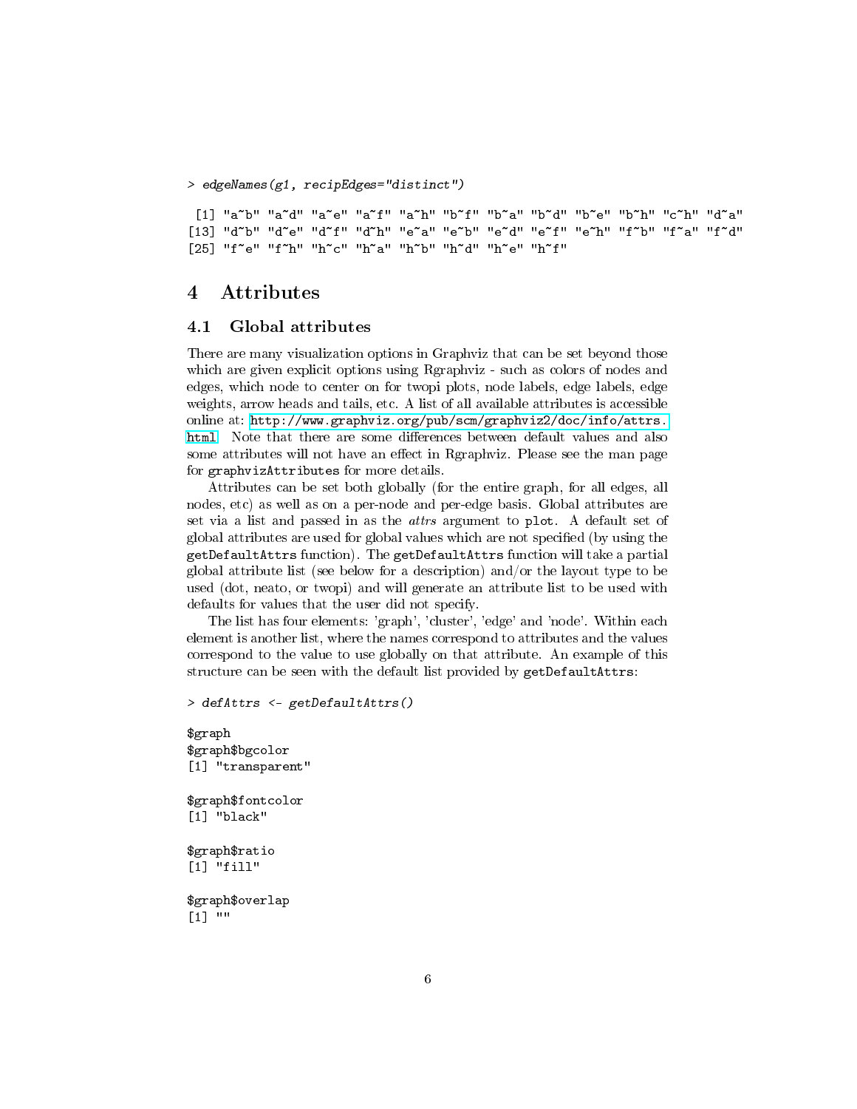> edgeNames(g1, recipEdges="distinct")

[1] "a~b" "a~d" "a~e" "a~f" "a~h" "b~f" "b~a" "b~d" "b~e" "b~h" "c~h" "d~a" [13] "d~b" "d~e" "d~f" "d~h" "e~a" "e~b" "e~d" "e~f" "e~h" "f~b" "f~a" "f~d" [25] "f~e" "f~h" "h~c" "h~a" "h~b" "h~d" "h~e" "h~f"

### <span id="page-5-0"></span>4 Attributes

#### <span id="page-5-1"></span>4.1 Global attributes

There are many visualization options in Graphviz that can be set beyond those which are given explicit options using Rgraphviz - such as colors of nodes and edges, which node to center on for twopi plots, node labels, edge labels, edge weights, arrow heads and tails, etc. A list of all available attributes is accessible online at: [http://www.graphviz.org/pub/scm/graphviz2/doc/info/attrs.](http://www.graphviz.org/pub/scm/graphviz2/doc/info/attrs.html) [html.](http://www.graphviz.org/pub/scm/graphviz2/doc/info/attrs.html) Note that there are some differences between default values and also some attributes will not have an effect in Rgraphviz. Please see the man page for graphvizAttributes for more details.

Attributes can be set both globally (for the entire graph, for all edges, all nodes, etc) as well as on a per-node and per-edge basis. Global attributes are set via a list and passed in as the attrs argument to plot. A default set of global attributes are used for global values which are not specified (by using the getDefaultAttrs function). The getDefaultAttrs function will take a partial global attribute list (see below for a description) and/or the layout type to be used (dot, neato, or twopi) and will generate an attribute list to be used with defaults for values that the user did not specify.

The list has four elements: 'graph', 'cluster', 'edge' and 'node'. Within each element is another list, where the names correspond to attributes and the values correspond to the value to use globally on that attribute. An example of this structure can be seen with the default list provided by getDefaultAttrs:

> defAttrs <- getDefaultAttrs()

\$graph \$graph\$bgcolor [1] "transparent" \$graph\$fontcolor [1] "black" \$graph\$ratio [1] "fill" \$graph\$overlap

[1] ""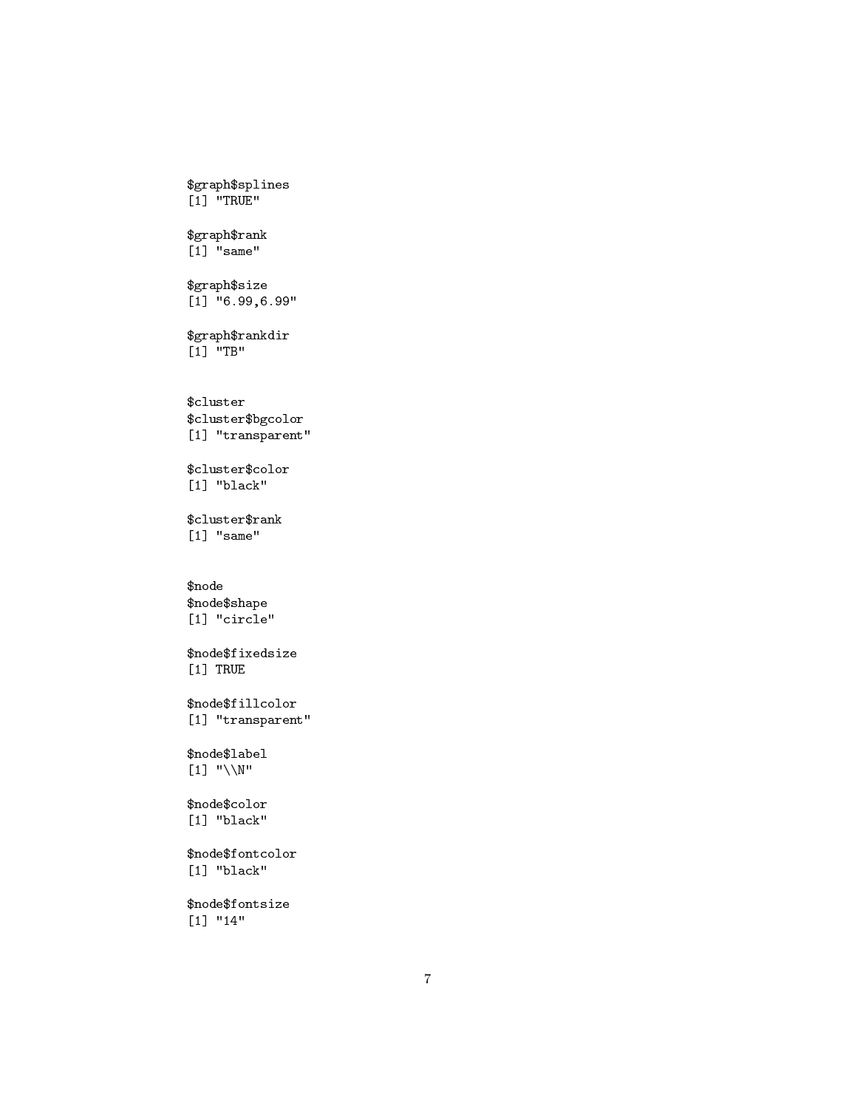\$graph\$splines [1] "TRUE"

\$graph\$rank [1] "same"

\$graph\$size  $[1]$  "6.99,6.99"

\$graph\$rankdir [1] "TB"

\$cluster \$cluster\$bgcolor [1] "transparent"

\$cluster\$color [1] "black"

\$cluster\$rank [1] "same"

\$node \$node\$shape [1] "circle"

\$node\$fixedsize [1] TRUE

\$node\$fillcolor [1] "transparent"

\$node\$label [1] "\\N"

\$node\$color [1] "black"

\$node\$fontcolor [1] "black"

\$node\$fontsize [1] "14"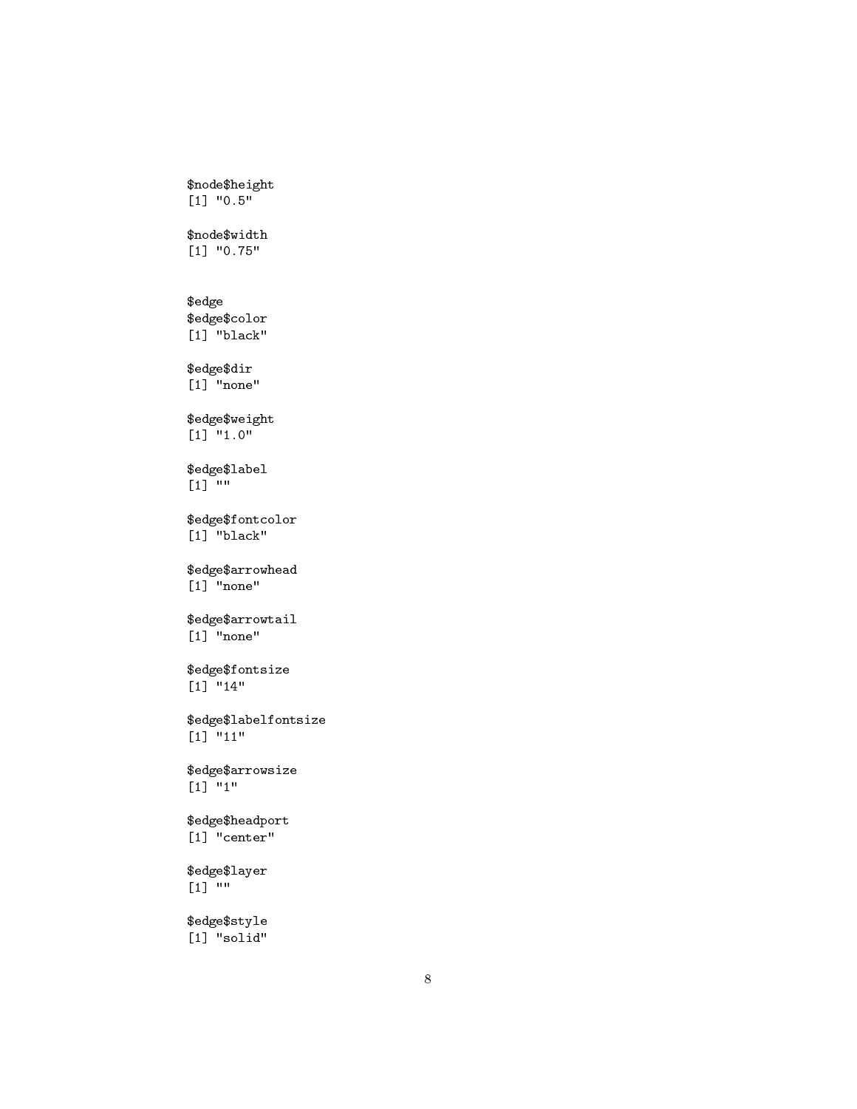```
$node$height
[1] "0.5"
```
\$node\$width [1] "0.75"

### \$edge

\$edge\$color [1] "black"

\$edge\$dir

[1] "none"

\$edge\$weight [1] "1.0"

\$edge\$label [1] ""

\$edge\$fontcolor [1] "black"

\$edge\$arrowhead [1] "none"

\$edge\$arrowtail [1] "none"

\$edge\$fontsize [1] "14"

\$edge\$labelfontsize [1] "11"

\$edge\$arrowsize [1] "1"

\$edge\$headport [1] "center"

\$edge\$layer [1] ""

\$edge\$style [1] "solid"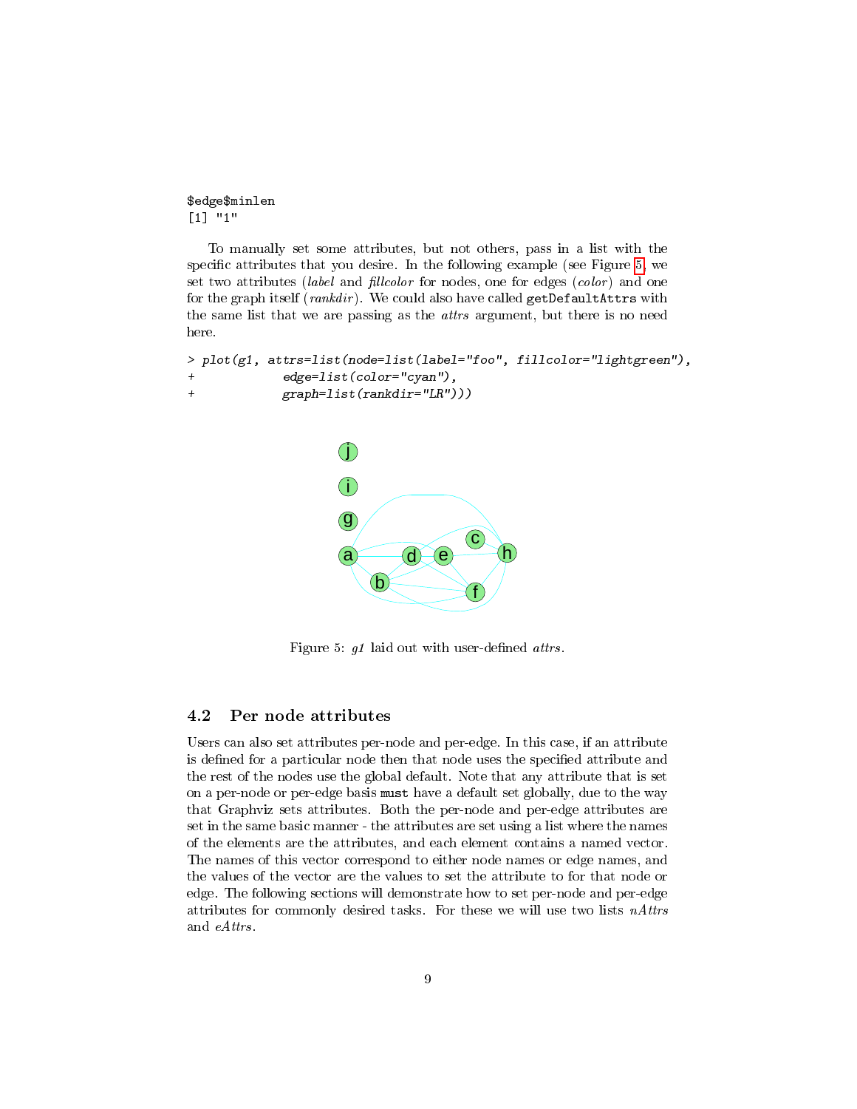\$edge\$minlen [1] "1"

To manually set some attributes, but not others, pass in a list with the specific attributes that you desire. In the following example (see Figure [5,](#page-8-1) we set two attributes (*label* and *fillcolor* for nodes, one for edges (*color*) and one for the graph itself (rankdir). We could also have called getDefaultAttrs with the same list that we are passing as the attrs argument, but there is no need here.

```
> plot(g1, attrs=list(node=list(label="foo", fillcolor="lightgreen"),
+ edge=list(color="cyan"),
+ graph=list(rankdir="LR")))
```


<span id="page-8-1"></span>Figure 5:  $g1$  laid out with user-defined attrs.

### <span id="page-8-0"></span>4.2 Per node attributes

Users can also set attributes per-node and per-edge. In this case, if an attribute is defined for a particular node then that node uses the specified attribute and the rest of the nodes use the global default. Note that any attribute that is set on a per-node or per-edge basis must have a default set globally, due to the way that Graphviz sets attributes. Both the per-node and per-edge attributes are set in the same basic manner - the attributes are set using a list where the names of the elements are the attributes, and each element contains a named vector. The names of this vector correspond to either node names or edge names, and the values of the vector are the values to set the attribute to for that node or edge. The following sections will demonstrate how to set per-node and per-edge attributes for commonly desired tasks. For these we will use two lists  $nAttrs$ and eAttrs.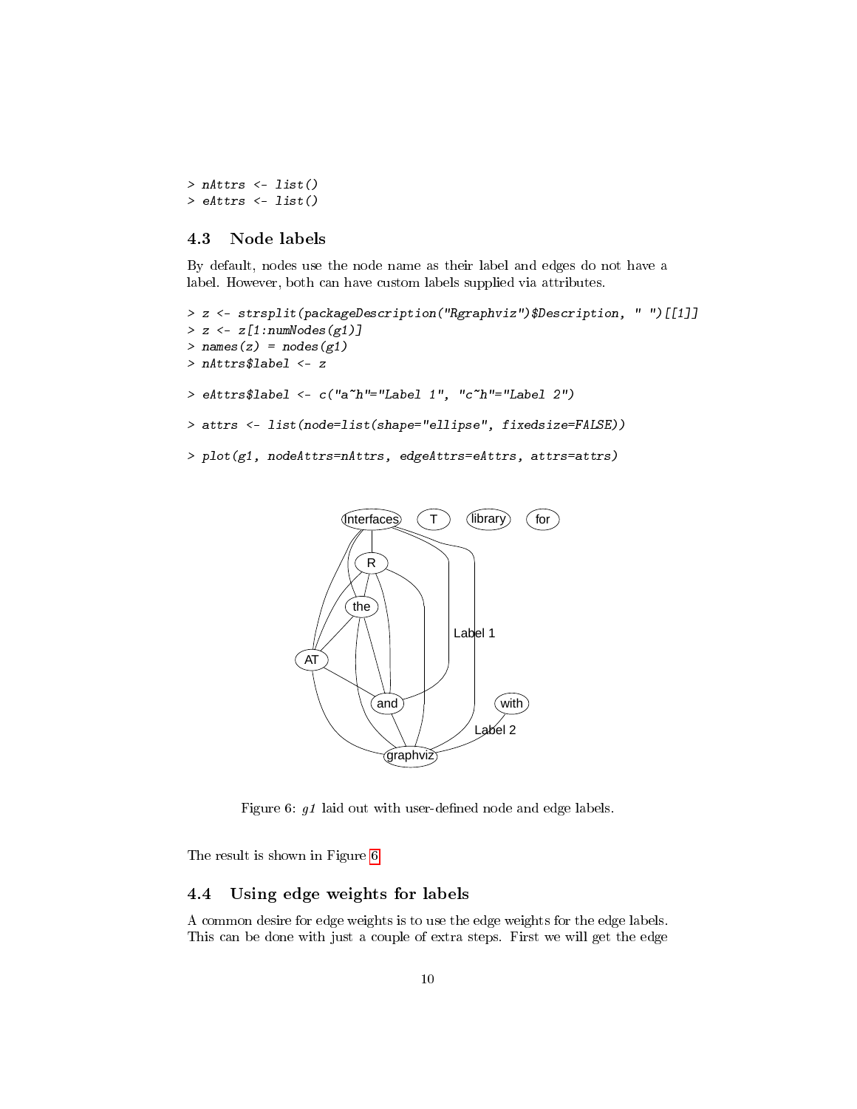```
> nAttrs \leq list()
> eAttrs <- list()
```
#### <span id="page-9-0"></span>4.3 Node labels

By default, nodes use the node name as their label and edges do not have a label. However, both can have custom labels supplied via attributes.

```
> z <- strsplit(packageDescription("Rgraphviz")$Description, " ")[[1]]
> z < -z[1:numNodes(g1)]> names(z) = nodes(g1)
> nAttrs$label <- z
> eAttrs$label <- c("a~h"="Label 1", "c~h"="Label 2")
> attrs <- list(node=list(shape="ellipse", fixedsize=FALSE))
> plot(g1, nodeAttrs=nAttrs, edgeAttrs=eAttrs, attrs=attrs)
```


<span id="page-9-2"></span>Figure 6:  $g1$  laid out with user-defined node and edge labels.

The result is shown in Figure [6.](#page-9-2)

### <span id="page-9-1"></span>4.4 Using edge weights for labels

A common desire for edge weights is to use the edge weights for the edge labels. This can be done with just a couple of extra steps. First we will get the edge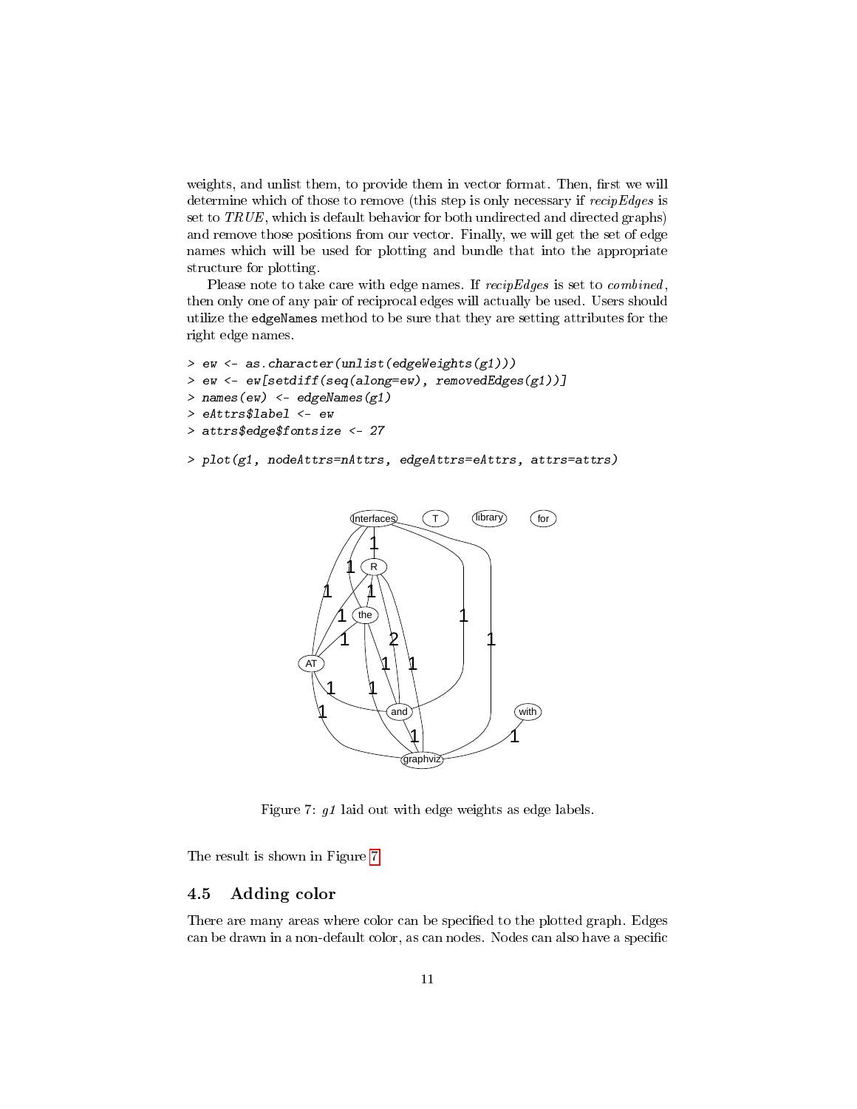weights, and unlist them, to provide them in vector format. Then, first we will determine which of those to remove (this step is only necessary if recipEdges is set to  $TRUE$ , which is default behavior for both undirected and directed graphs) and remove those positions from our vector. Finally, we will get the set of edge names which will be used for plotting and bundle that into the appropriate structure for plotting.

Please note to take care with edge names. If recipEdges is set to combined, then only one of any pair of reciprocal edges will actually be used. Users should utilize the edgeNames method to be sure that they are setting attributes for the right edge names.

```
> ew <- as.character(unlist(edgeWeights(g1)))
> ew <- ew[setdiff(seq(along=ew), removedEdges(g1))]
> names(ew) <- edgeNames(g1)
> eAttrs$label <- ew
> attrs$edge$fontsize <- 27
> plot(g1, nodeAttrs=nAttrs, edgeAttrs=eAttrs, attrs=attrs)
```


<span id="page-10-1"></span>Figure 7: g1 laid out with edge weights as edge labels.

The result is shown in Figure [7.](#page-10-1)

### <span id="page-10-0"></span>4.5 Adding color

There are many areas where color can be specified to the plotted graph. Edges can be drawn in a non-default color, as can nodes. Nodes can also have a specific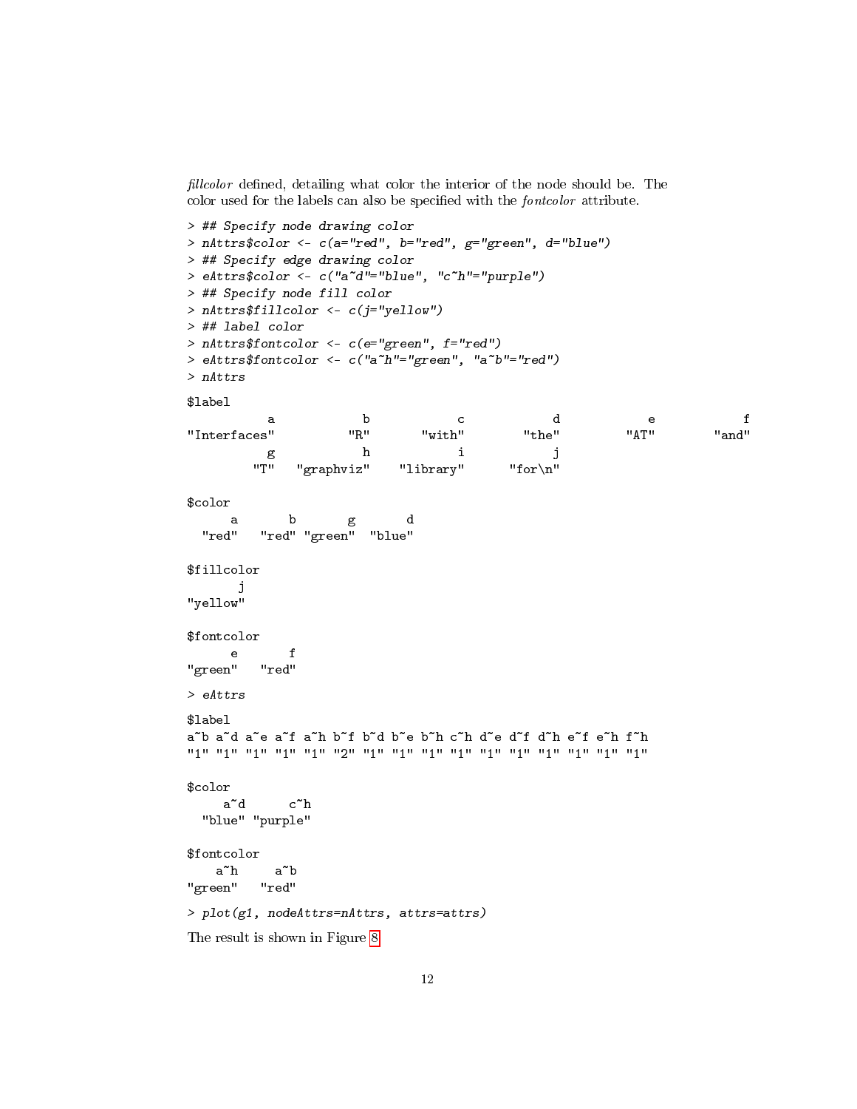fillcolor defined, detailing what color the interior of the node should be. The color used for the labels can also be specified with the *fontcolor* attribute.

```
> ## Specify node drawing color
> nAttrs$color <- c(a="red", b="red", g="green", d="blue")
> ## Specify edge drawing color
> eAttrs$color <- c("a~d"="blue", "c~h"="purple")
> ## Specify node fill color
> nAttrs$fillcolor <- c(j="yellow")
> ## label color
> nAttrs$fontcolor <- c(e="green", f="red")
> eAttrs$fontcolor <- c("a~h"="green", "a~b"="red")
> nAttrs
$label
         a b c de f
"Interfaces" "R" "with" "the" "AT" "and"
         g h i j
       "T" "graphviz" "library" "for\n"
$color
     a b g d
 "red" "red" "green" "blue"
$fillcolor
     j
"yellow"
$fontcolor
     e f
"green" "red"
> eAttrs
$label
a~b a~d a~e a~f a~h b~f b~d b~e b~h c~h d~e d~f d~h e~f e~h f~h
"1" "1" "1" "1" "1" "2" "1" "1" "1" "1" "1" "1" "1" "1" "1" "1"
$color
    a~d c~h
 "blue" "purple"
$fontcolor
   a~h a~b
"green" "red"
> plot(g1, nodeAttrs=nAttrs, attrs=attrs)
The result is shown in Figure 8.
```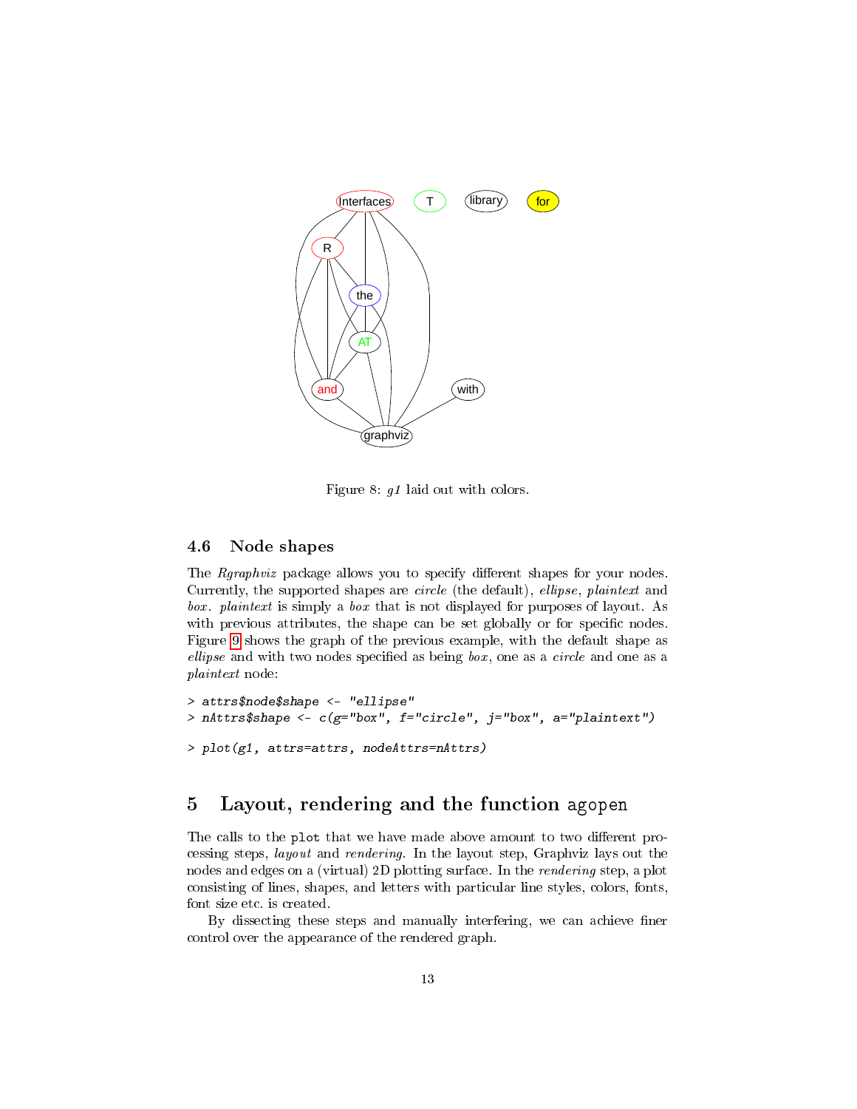

<span id="page-12-2"></span>Figure 8: g1 laid out with colors.

### <span id="page-12-0"></span>4.6 Node shapes

The *Rgraphviz* package allows you to specify different shapes for your nodes. Currently, the supported shapes are circle (the default), ellipse, plaintext and box. plaintext is simply a box that is not displayed for purposes of layout. As with previous attributes, the shape can be set globally or for specific nodes. Figure [9](#page-13-0) shows the graph of the previous example, with the default shape as ellipse and with two nodes specified as being  $box$ , one as a *circle* and one as a plaintext node:

```
> attrs$node$shape <- "ellipse"
> nAttrs$shape <- c(g="box", f="circle", j="box", a="plantext")> plot(g1, attrs=attrs, nodeAttrs=nAttrs)
```
# <span id="page-12-1"></span>5 Layout, rendering and the function agopen

The calls to the plot that we have made above amount to two different processing steps, layout and rendering. In the layout step, Graphviz lays out the nodes and edges on a (virtual) 2D plotting surface. In the rendering step, a plot consisting of lines, shapes, and letters with particular line styles, colors, fonts, font size etc. is created.

By dissecting these steps and manually interfering, we can achieve finer control over the appearance of the rendered graph.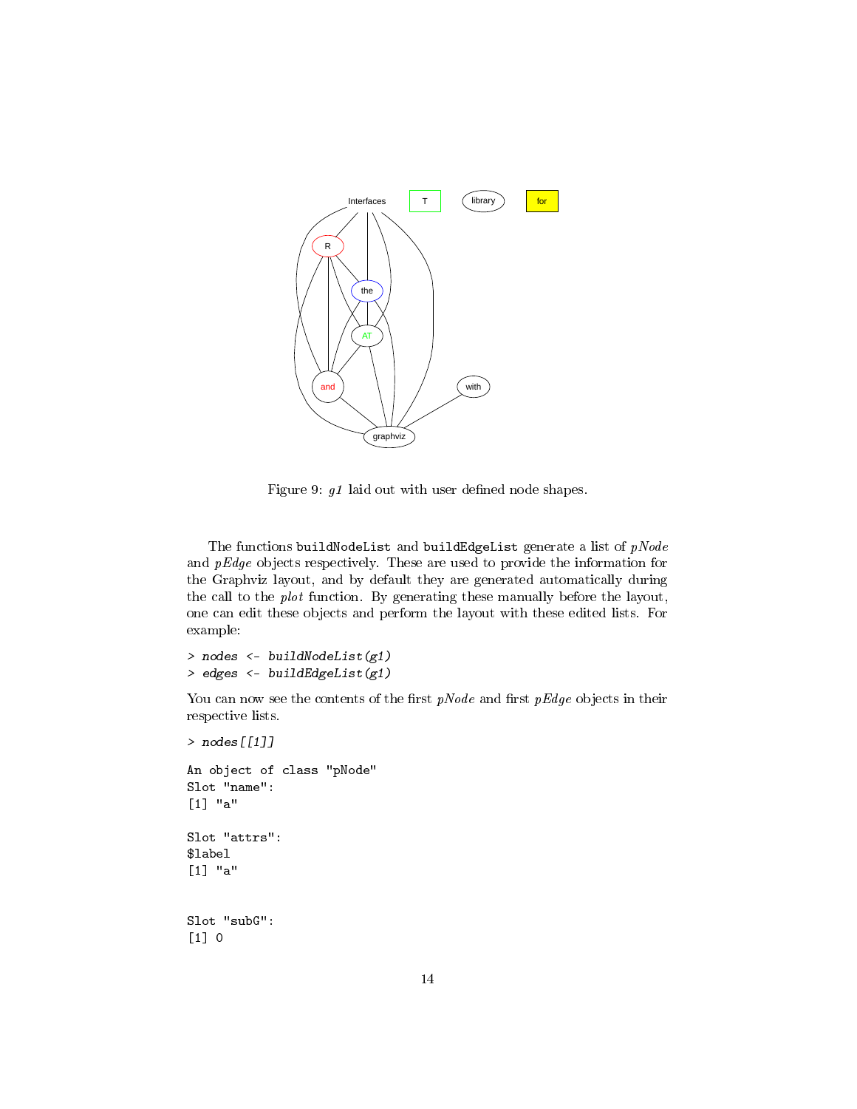

<span id="page-13-0"></span>Figure 9:  $\mathfrak{g}1$  laid out with user defined node shapes.

The functions buildNodeList and buildEdgeList generate a list of  $pNode$ and  $pEdge$  objects respectively. These are used to provide the information for the Graphviz layout, and by default they are generated automatically during the call to the plot function. By generating these manually before the layout, one can edit these objects and perform the layout with these edited lists. For example:

```
> nodes <- buildNodeList(g1)
> edges <- buildEdgeList(g1)
```
You can now see the contents of the first  $pNode$  and first  $pEdge$  objects in their respective lists.

```
> nodes[[1]]
An object of class "pNode"
Slot "name":
[1] "a"
Slot "attrs":
$label
[1] "a"
Slot "subG":
[1] 0
```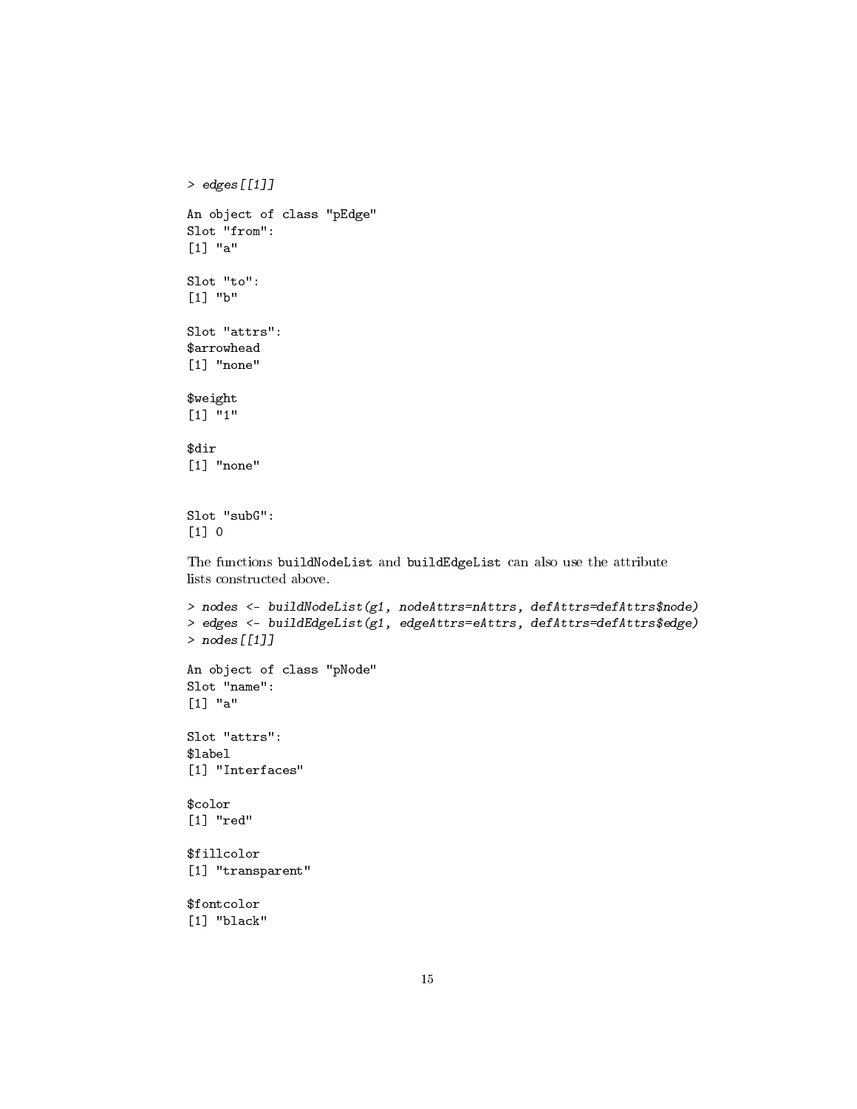```
> edges[[1]]
An object of class "pEdge"
Slot "from":
[1] "a"
Slot "to":
[1] "b"
Slot "attrs":
$arrowhead
[1] "none"
$weight
[1] "1"
$dir
[1] "none"
Slot "subG":
[1] 0
The functions buildNodeList and buildEdgeList can also use the attribute
lists constructed above.
> nodes \leq buildNodeList(g1, nodeAttrs=nAttrs, defAttrs=defAttrs$node)
> edges <- buildEdgeList(g1, edgeAttrs=eAttrs, defAttrs=defAttrs$edge)
> nodes[[1]]
An object of class "pNode"
Slot "name":
[1] "a"
Slot "attrs":
$label
[1] "Interfaces"
$color
[1] "red"
$fillcolor
[1] "transparent"
$fontcolor
[1] "black"
```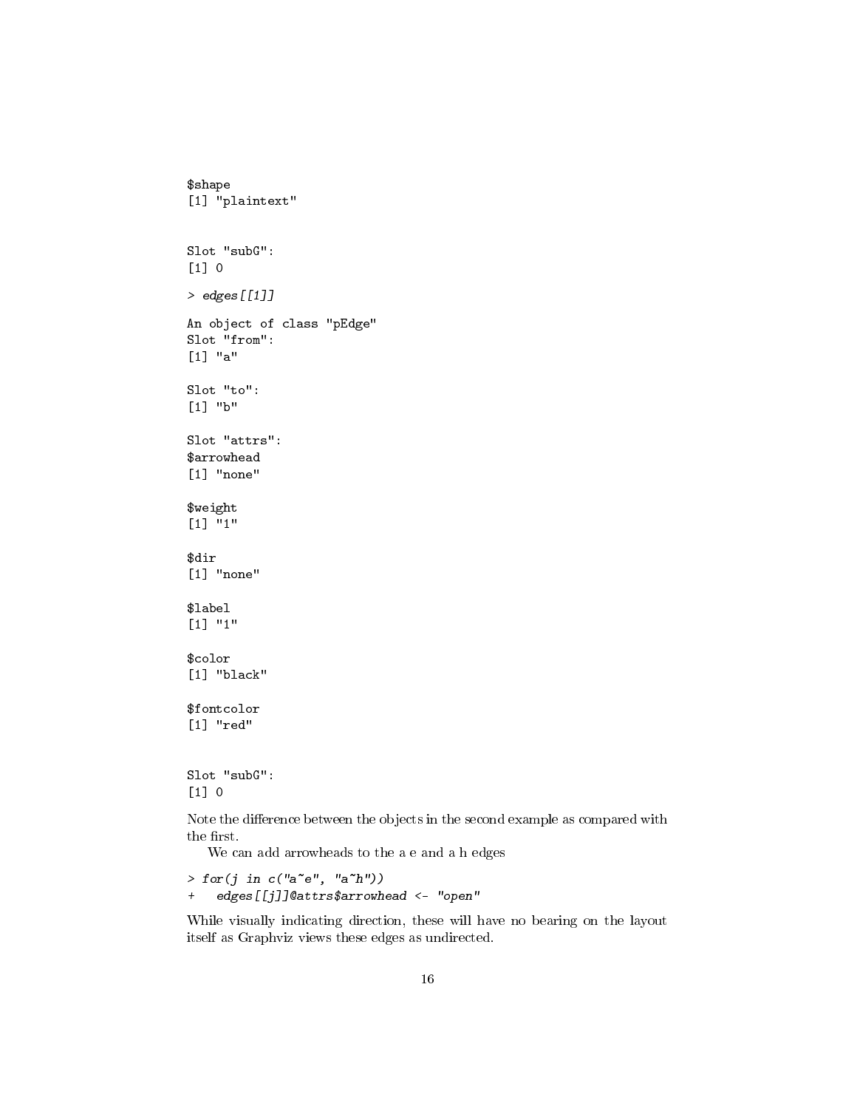```
$shape
[1] "plaintext"
Slot "subG":
[1] 0
> edges[[1]]
An object of class "pEdge"
Slot "from":
[1] "a"
Slot "to":
[1] "b"
Slot "attrs":
$arrowhead
[1] "none"
$weight
[1] "1"
$dir
[1] "none"
$label
[1] "1"
$color
[1] "black"
$fontcolor
[1] "red"
Slot "subG":
[1] 0
```
Note the difference between the objects in the second example as compared with the first.

We can add arrowheads to the a e and a h edges

```
> for(j in c("a^-e", "a^h")+ edges[[j]]@attrs$arrowhead <- "open"
```
While visually indicating direction, these will have no bearing on the layout itself as Graphviz views these edges as undirected.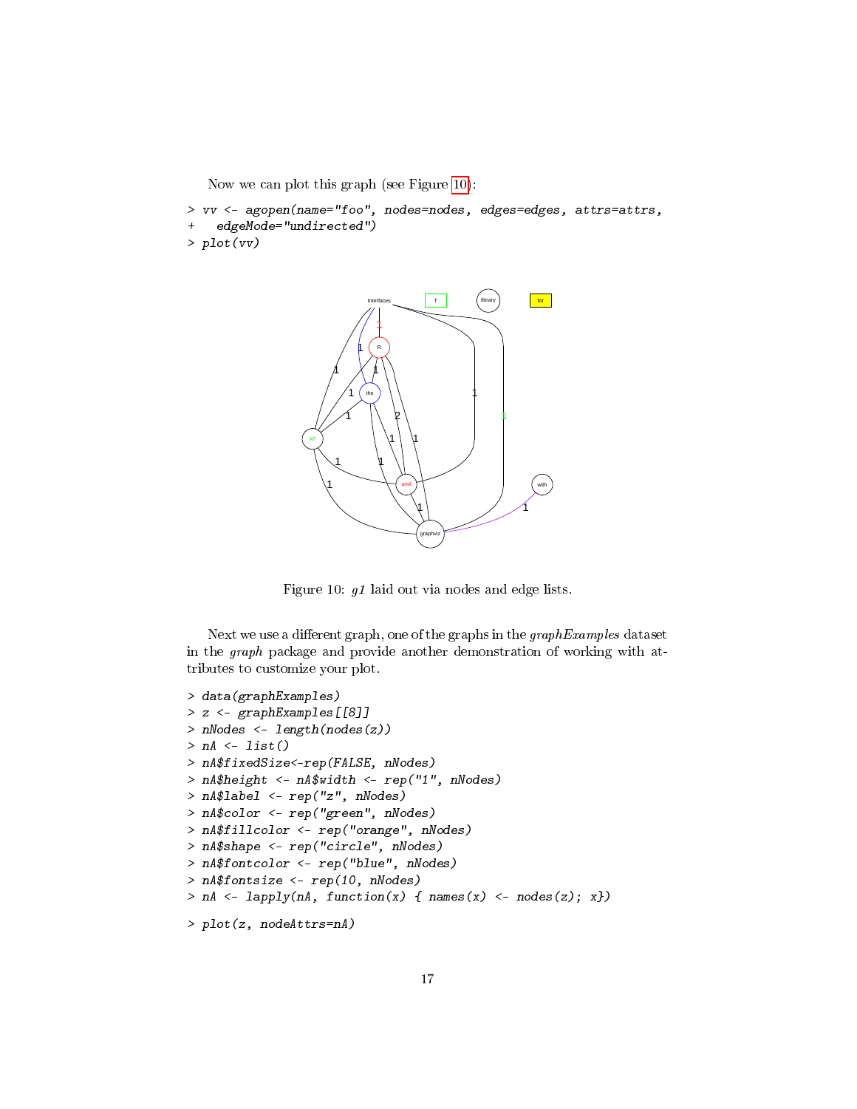Now we can plot this graph (see Figure [10\)](#page-16-0):

```
> vv <- agopen(name="foo", nodes=nodes, edges=edges, attrs=attrs,
    edgeMode="undirected")
> plot(vv)
```


<span id="page-16-0"></span>Figure 10: g1 laid out via nodes and edge lists.

Next we use a different graph, one of the graphs in the  $graphExamples$  dataset in the graph package and provide another demonstration of working with attributes to customize your plot.

```
> data(graphExamples)
> z <- graphExamples[[8]]
> nNodes <- length(nodes(z))
> nA \leq list()> nA$fixedSize<-rep(FALSE, nNodes)
> nA$height <- nA$width <- rep("1", nNodes)
> nA$label <- rep("z", nNodes)
> nA$color <- rep("green", nNodes)
> nA$fillcolor <- rep("orange", nNodes)
> nA$shape <- rep("circle", nNodes)
> nA$fontcolor <- rep("blue", nNodes)
> nA$fontsize <- rep(10, nNodes)
> nA <- lapply(nA, function(x) { names(x) <- nodes(z); x})
> plot(z, nodeAttrs=nA)
```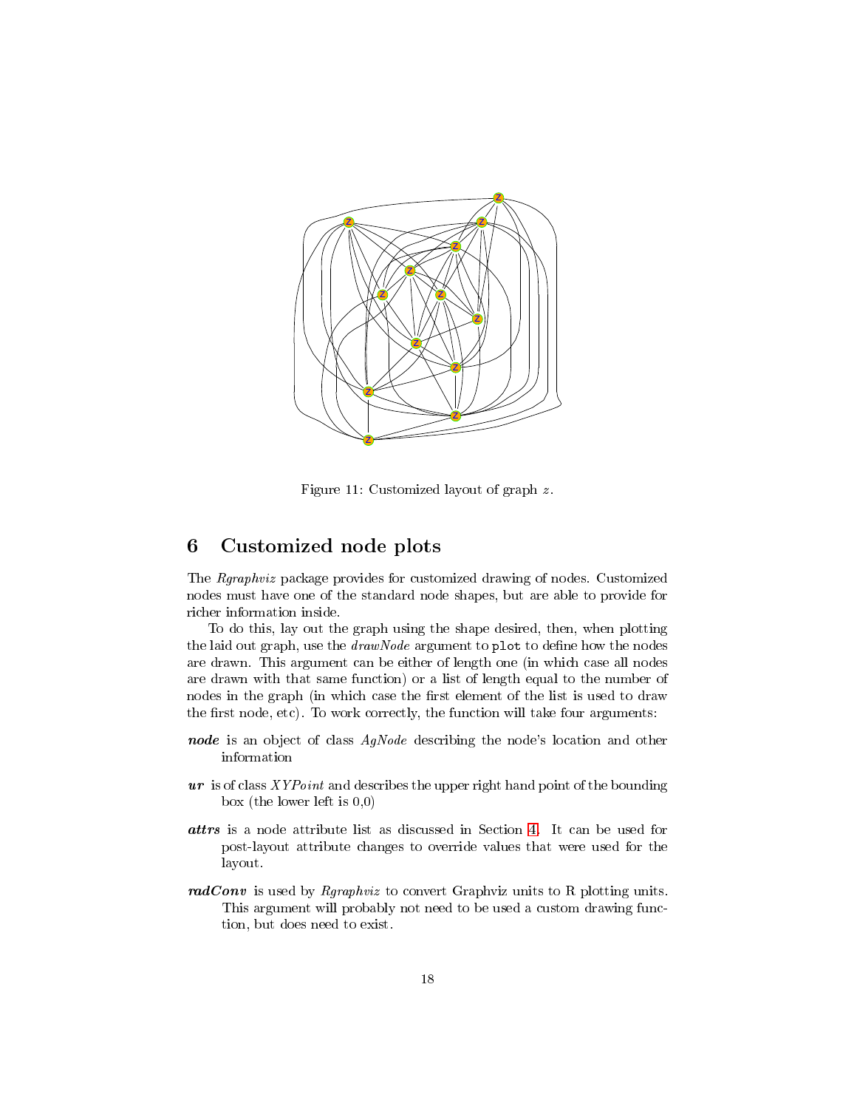

Figure 11: Customized layout of graph z.

# <span id="page-17-0"></span>6 Customized node plots

The Rgraphviz package provides for customized drawing of nodes. Customized nodes must have one of the standard node shapes, but are able to provide for richer information inside.

To do this, lay out the graph using the shape desired, then, when plotting the laid out graph, use the  $drawNode$  argument to plot to define how the nodes are drawn. This argument can be either of length one (in which case all nodes are drawn with that same function) or a list of length equal to the number of nodes in the graph (in which case the first element of the list is used to draw the first node, etc). To work correctly, the function will take four arguments:

- node is an object of class AgNode describing the node's location and other information
- $ur$  is of class  $XYPoint$  and describes the upper right hand point of the bounding box (the lower left is 0,0)
- attrs is a node attribute list as discussed in Section [4.](#page-5-0) It can be used for post-layout attribute changes to override values that were used for the layout.
- radConv is used by Rgraphviz to convert Graphviz units to R plotting units. This argument will probably not need to be used a custom drawing function, but does need to exist.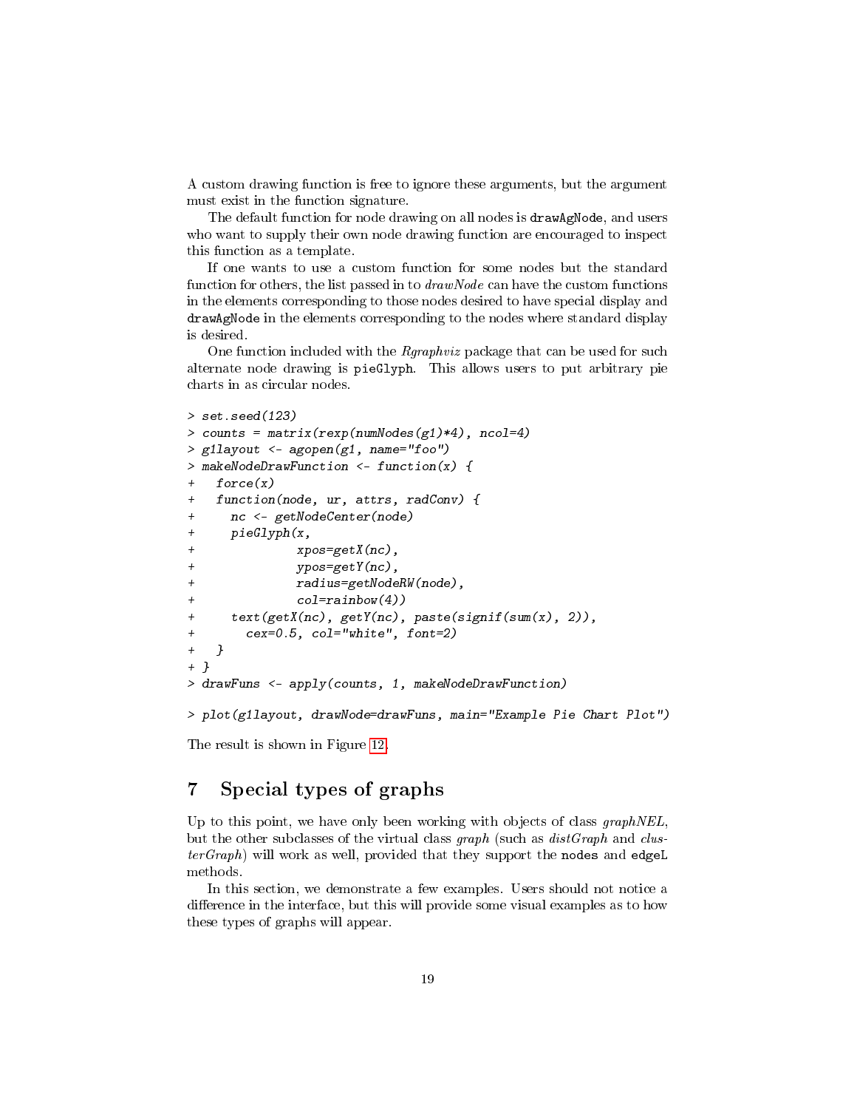A custom drawing function is free to ignore these arguments, but the argument must exist in the function signature.

The default function for node drawing on all nodes is drawAgNode, and users who want to supply their own node drawing function are encouraged to inspect this function as a template.

If one wants to use a custom function for some nodes but the standard function for others, the list passed in to  $drawNode$  can have the custom functions in the elements corresponding to those nodes desired to have special display and drawAgNode in the elements corresponding to the nodes where standard display is desired.

One function included with the Rgraphviz package that can be used for such alternate node drawing is pieGlyph. This allows users to put arbitrary pie charts in as circular nodes.

```
> set. seed (123)
> counts = matrix(rexp(numNodes(g1)*4), ncol=4)
> g1layout <- agopen(g1, name="foo")
> makeNodeDrawFunction <- function(x) {
   force(x)function(node, ur, attrs, radConv) {
     nc <- getNodeCenter(node)
+ pieGlyph(x,
              xpos=getX(nc),
+ ypos=getY(nc),
              + radius=getNodeRW(node),
+ col=rainbow(4))
+ text(getX(nc), getY(nc), paste(signif(sum(x), 2)),
+ cex=0.5, col="white", font=2)
+ }
+ }
> drawFuns <- apply(counts, 1, makeNodeDrawFunction)
> plot(g1layout, drawNode=drawFuns, main="Example Pie Chart Plot")
```
The result is shown in Figure [12.](#page-19-2)

# <span id="page-18-0"></span>7 Special types of graphs

Up to this point, we have only been working with objects of class graphNEL, but the other subclasses of the virtual class graph (such as  $distGraph$  and clus $terGraph$ ) will work as well, provided that they support the nodes and edgeL methods.

In this section, we demonstrate a few examples. Users should not notice a difference in the interface, but this will provide some visual examples as to how these types of graphs will appear.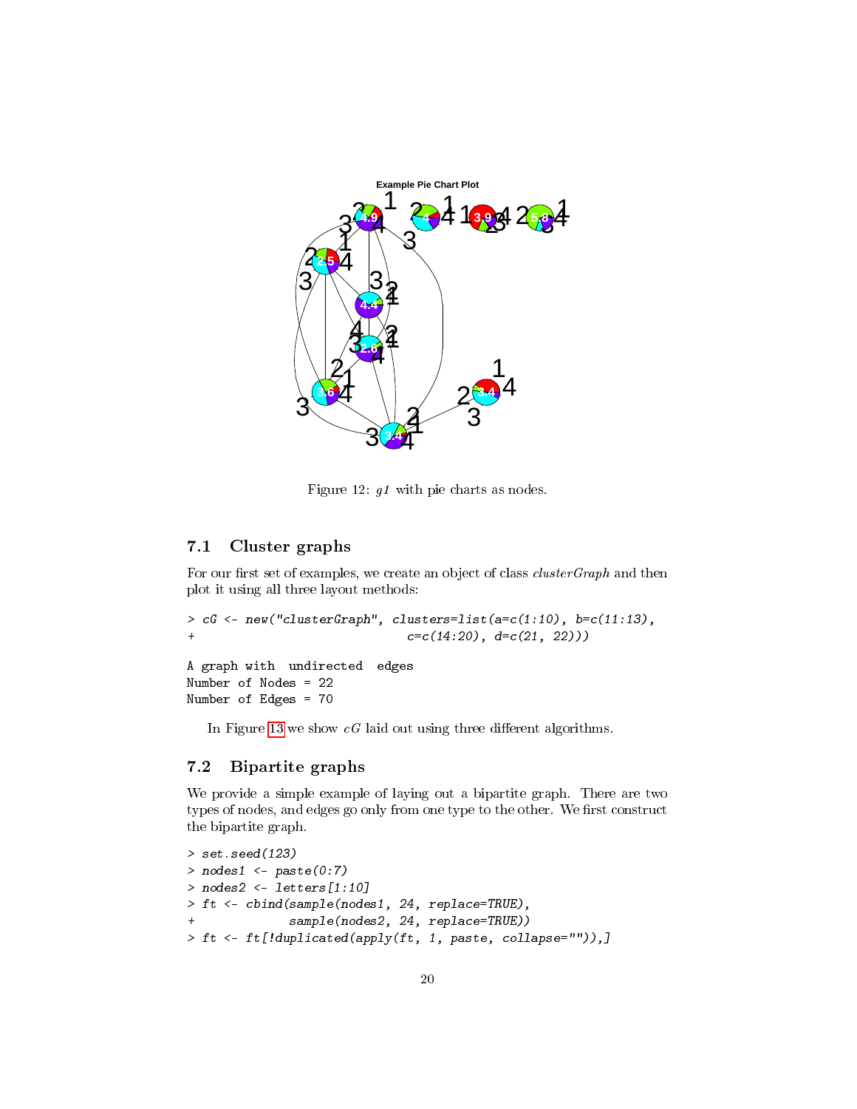

<span id="page-19-2"></span>Figure 12: g1 with pie charts as nodes.

### <span id="page-19-0"></span>7.1 Cluster graphs

For our first set of examples, we create an object of class  $clusterGraph$  and then plot it using all three layout methods:

```
> cG <- new("clusterGraph", clusters=list(a=c(1:10), b=c(11:13),
+ c=c(14:20), d=c(21, 22))A graph with undirected edges
```
Number of Nodes = 22 Number of Edges = 70

In Figure [13](#page-20-1) we show  $cG$  laid out using three different algorithms.

### <span id="page-19-1"></span>7.2 Bipartite graphs

We provide a simple example of laying out a bipartite graph. There are two types of nodes, and edges go only from one type to the other. We first construct the bipartite graph.

```
> set.seed(123)
> nodes1 <- paste(0:7)
> nodes2 <- letters[1:10]
> ft <- cbind(sample(nodes1, 24, replace=TRUE),
+ sample(nodes2, 24, replace=TRUE))
> ft <- ft[!duplicated(apply(ft, 1, paste, collapse="")),]
```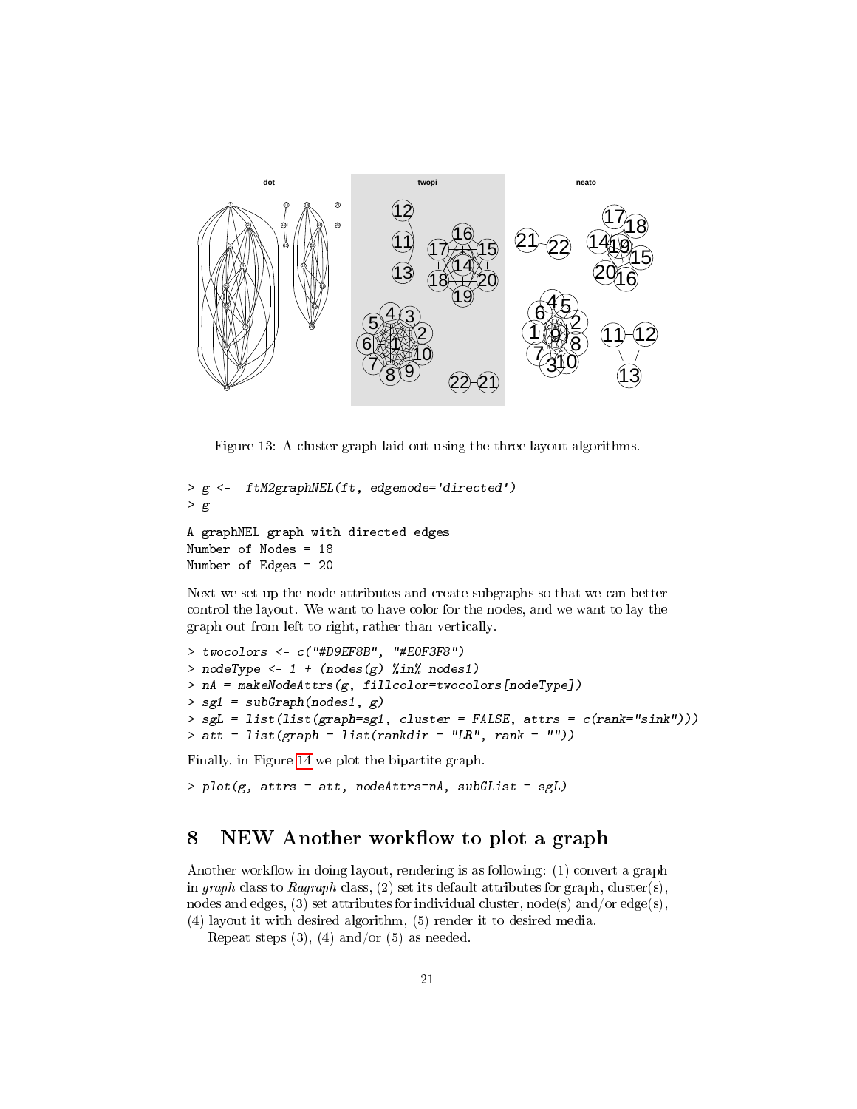

<span id="page-20-1"></span>Figure 13: A cluster graph laid out using the three layout algorithms.

```
> g <- ftM2graphNEL(ft, edgemode='directed')
> gA graphNEL graph with directed edges
Number of Nodes = 18
Number of Edges = 20
```
Next we set up the node attributes and create subgraphs so that we can better control the layout. We want to have color for the nodes, and we want to lay the graph out from left to right, rather than vertically.

```
> twocolors <- c("#D9EF8B", "#E0F3F8")
> nodeType <- 1 + (nodes(g) %in% nodes1)> nA = makeNodeAttrs(g, fillcolor=twocolors[nodeType])
> sg1 = subGraph(nodes1, g)
> sgL = list(list(graph=sg1, cluster = FALSE, attrs = c(rank="sink")))
> att = list(graph = list(rankdir = "LR", rank = ""))
```
Finally, in Figure [14](#page-21-1) we plot the bipartite graph.

```
> plot(g, attrs = att, nodeAttrs = nA, subGList = sgL)
```
# <span id="page-20-0"></span>8 NEW Another workflow to plot a graph

Another workflow in doing layout, rendering is as following:  $(1)$  convert a graph in graph class to Ragraph class, (2) set its default attributes for graph, cluster(s), nodes and edges, (3) set attributes for individual cluster, node(s) and/or edge(s), (4) layout it with desired algorithm, (5) render it to desired media.

Repeat steps  $(3)$ ,  $(4)$  and/or  $(5)$  as needed.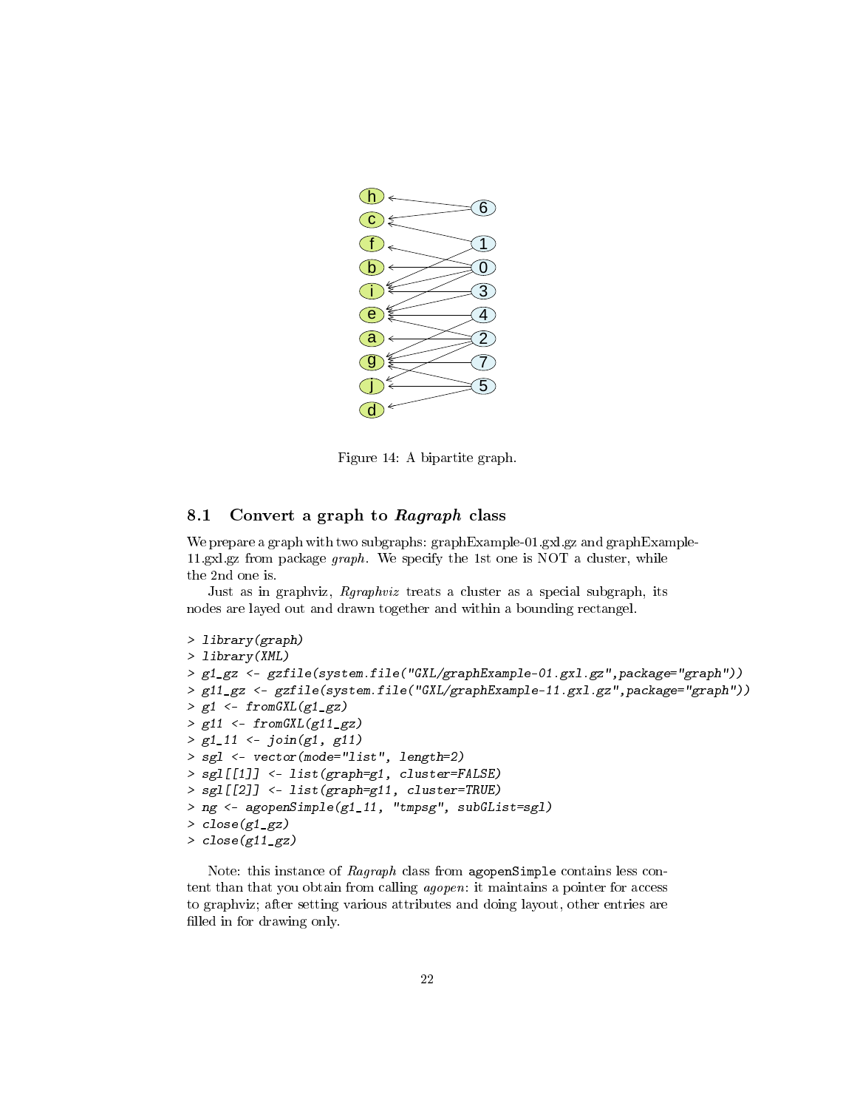

<span id="page-21-1"></span>Figure 14: A bipartite graph.

### <span id="page-21-0"></span>8.1 Convert a graph to  $Ragraph$  class

We prepare a graph with two subgraphs: graphExample-01.gxl.gz and graphExample-11.gxl.gz from package graph. We specify the 1st one is NOT a cluster, while the 2nd one is.

Just as in graphviz, Rgraphviz treats a cluster as a special subgraph, its nodes are layed out and drawn together and within a bounding rectangel.

```
> library(graph)
> library(XML)
> g1_gz <- gzfile(system.file("GXL/graphExample-01.gxl.gz",package="graph"))
> g11_gz <- gzfile(system.file("GXL/graphExample-11.gxl.gz",package="graph"))
> g1 \leftarrow from GXL(g1_gz)> g11 \leftarrow from GXL(g11_gz)> g1_11 < -join(g1, g11)> sgl <- vector(mode="list", length=2)
> sgl[[1]] <- list(graph=g1, cluster=FALSE)
> sgl[[2]] <- list(graph=g11, cluster=TRUE)
> ng <- agopenSimple(g1_11, "tmpsg", subGList=sgl)
> close(g1_gz)
> close(g11_gz)
```
Note: this instance of Ragraph class from agopenSimple contains less content than that you obtain from calling agopen: it maintains a pointer for access to graphviz; after setting various attributes and doing layout, other entries are filled in for drawing only.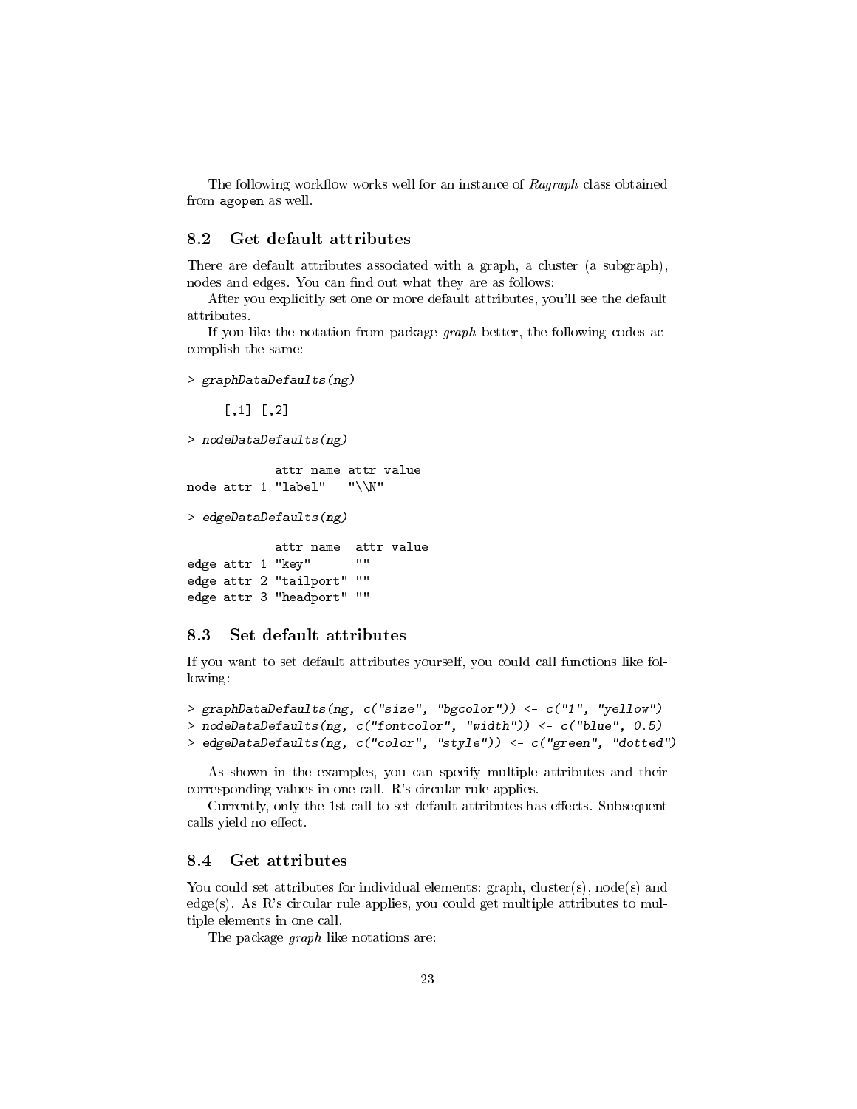The following workflow works well for an instance of Ragraph class obtained from agopen as well.

### <span id="page-22-0"></span>8.2 Get default attributes

There are default attributes associated with a graph, a cluster (a subgraph), nodes and edges. You can find out what they are as follows:

After you explicitly set one or more default attributes, you'll see the default attributes.

If you like the notation from package  $graph$  better, the following codes accomplish the same:

```
> graphDataDefaults(ng)
```
 $[,1] [,2]$ 

```
> nodeDataDefaults(ng)
```

```
attr name attr value
node attr 1 "label" "\\N"
```
> edgeDataDefaults(ng)

```
attr name attr value
edge attr 1 "key" ""
edge attr 2 "tailport" ""
edge attr 3 "headport" ""
```
### <span id="page-22-1"></span>8.3 Set default attributes

If you want to set default attributes yourself, you could call functions like following:

```
> graphDataDefaults(ng, c("size", "bgcolor")) <- c("1", "yellow")
> nodeDataDefaults(ng, c("fontcolor", "width")) <- c("blue", 0.5)
> edgeDataDefaults(ng, c("color", "style")) <- c("green", "dotted")
```
As shown in the examples, you can specify multiple attributes and their corresponding values in one call. R's circular rule applies.

Currently, only the 1st call to set default attributes has effects. Subsequent calls yield no effect.

#### <span id="page-22-2"></span>8.4 Get attributes

You could set attributes for individual elements:  $graph$ ,  $cluster(s)$ ,  $node(s)$  and edge(s). As R's circular rule applies, you could get multiple attributes to multiple elements in one call.

The package *graph* like notations are: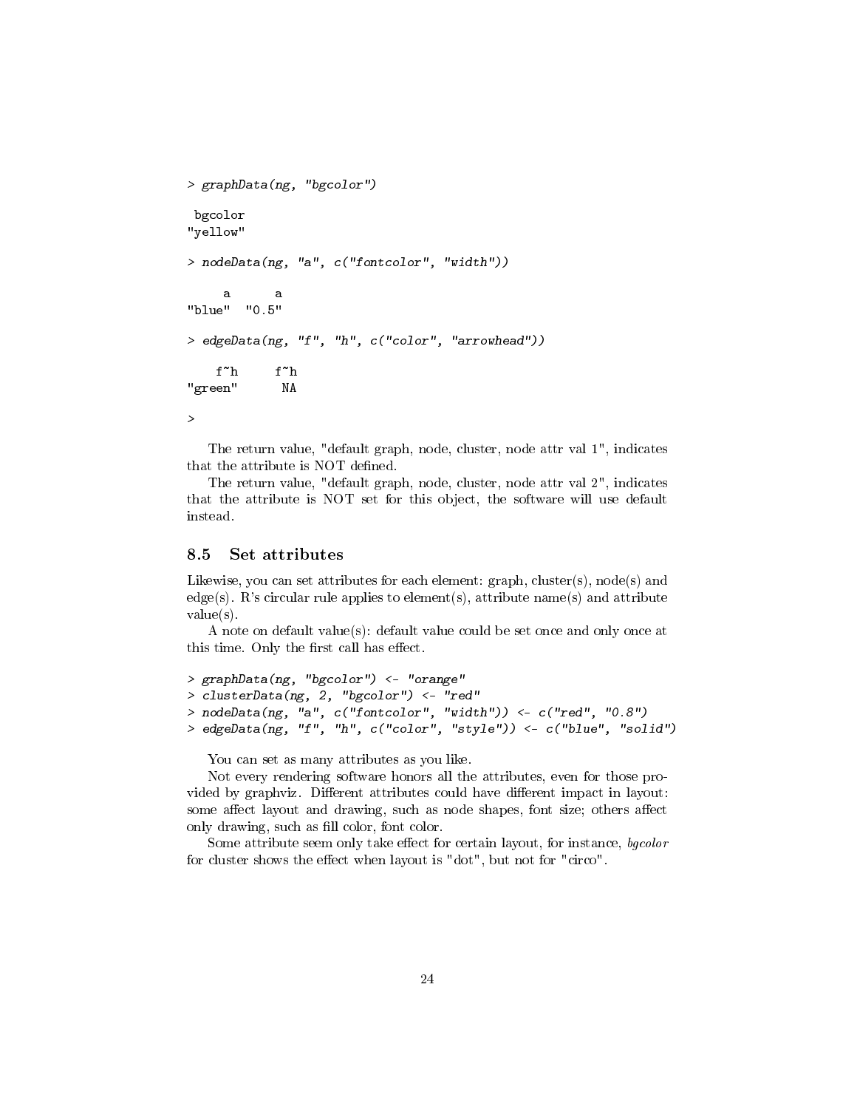```
> graphData(ng, "bgcolor")
bgcolor
"yellow"
> nodeData(ng, "a", c("fontcolor", "width"))
     a a<br>," "0.5"
"blue"
> edgeData(ng, "f", "h", c("color", "arrowhead"))
   f~h f~h
"green" NA
>
```
The return value, "default graph, node, cluster, node attr val 1", indicates that the attribute is NOT defined.

The return value, "default graph, node, cluster, node attr val 2", indicates that the attribute is NOT set for this object, the software will use default instead.

#### <span id="page-23-0"></span>8.5 Set attributes

Likewise, you can set attributes for each element:  $graph$ ,  $cluster(s)$ ,  $node(s)$  and edge(s). R's circular rule applies to element(s), attribute name(s) and attribute value(s).

A note on default value(s): default value could be set once and only once at this time. Only the first call has effect.

```
> graphData(ng, "bgcolor") <- "orange"
> clusterData(ng, 2, "bgcolor") <- "red"
> nodeData(ng, "a", c("fontcolor", "width")) <- c("red", "0.8")
> edgeData(ng, "f", "h", c("color", "style")) <- c("blue", "solid")
```
You can set as many attributes as you like.

Not every rendering software honors all the attributes, even for those provided by graphviz. Different attributes could have different impact in layout: some affect layout and drawing, such as node shapes, font size; others affect only drawing, such as fill color, font color.

Some attribute seem only take effect for certain layout, for instance, bgcolor for cluster shows the effect when layout is "dot", but not for "circo".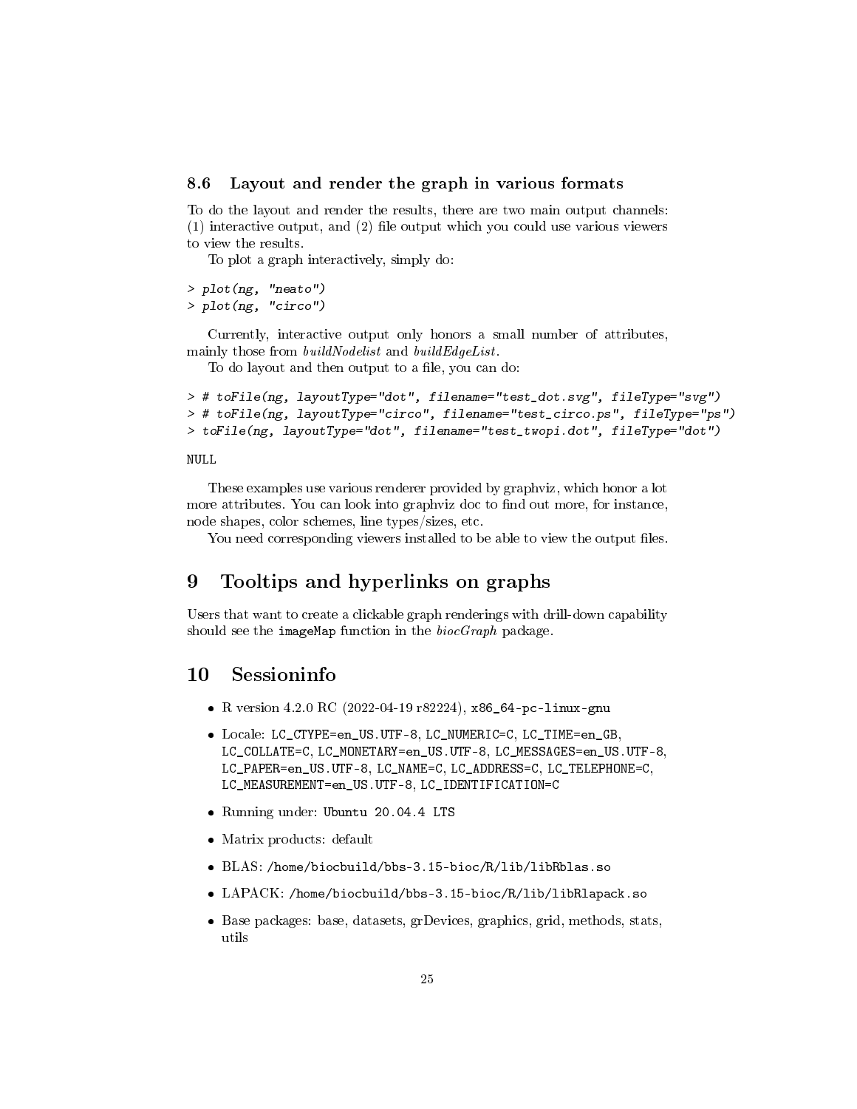#### <span id="page-24-0"></span>8.6 Layout and render the graph in various formats

To do the layout and render the results, there are two main output channels:  $(1)$  interactive output, and  $(2)$  file output which you could use various viewers to view the results.

To plot a graph interactively, simply do:

```
> plot(ng, "neato")
> plot(ng, "circo")
```
Currently, interactive output only honors a small number of attributes, mainly those from *buildNodelist* and *buildEdgeList*.

To do layout and then output to a file, you can do:

```
> # toFile(ng, layoutType="dot", filename="test_dot.svg", fileType="svg")
> # toFile(ng, layoutType="circo", filename="test_circo.ps", fileType="ps")
> toFile(ng, layoutType="dot", filename="test_twopi.dot", fileType="dot")
```
#### NULL

These examples use various renderer provided by graphviz, which honor a lot more attributes. You can look into graphviz doc to find out more, for instance, node shapes, color schemes, line types/sizes, etc.

You need corresponding viewers installed to be able to view the output files.

### <span id="page-24-1"></span>9 Tooltips and hyperlinks on graphs

Users that want to create a clickable graph renderings with drill-down capability should see the imageMap function in the  $biocGraph$  package.

### <span id="page-24-2"></span>10 Sessioninfo

- R version 4.2.0 RC (2022-04-19 r82224), x86\_64-pc-linux-gnu
- Locale: LC\_CTYPE=en\_US.UTF-8, LC\_NUMERIC=C, LC\_TIME=en\_GB, LC\_COLLATE=C, LC\_MONETARY=en\_US.UTF-8, LC\_MESSAGES=en\_US.UTF-8, LC\_PAPER=en\_US.UTF-8, LC\_NAME=C, LC\_ADDRESS=C, LC\_TELEPHONE=C, LC\_MEASUREMENT=en\_US.UTF-8, LC\_IDENTIFICATION=C
- Running under: Ubuntu 20.04.4 LTS
- Matrix products: default
- BLAS: /home/biocbuild/bbs-3.15-bioc/R/lib/libRblas.so
- LAPACK: /home/biocbuild/bbs-3.15-bioc/R/lib/libRlapack.so
- Base packages: base, datasets, grDevices, graphics, grid, methods, stats, utils